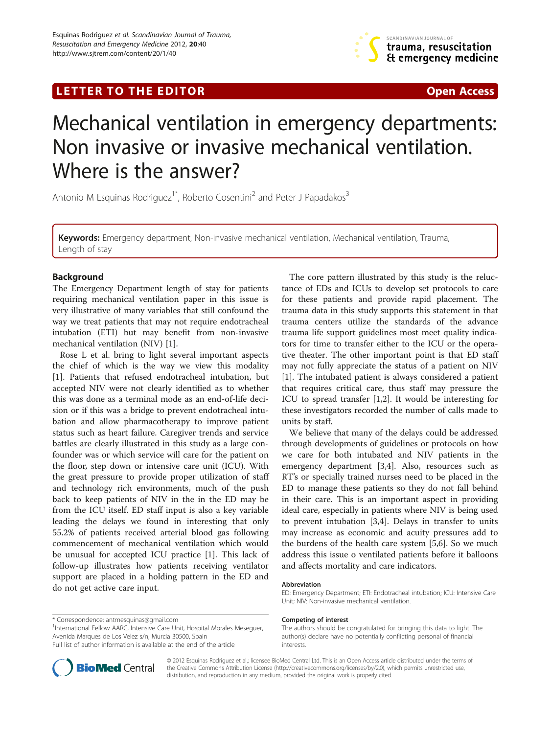



# Mechanical ventilation in emergency departments: Non invasive or invasive mechanical ventilation. Where is the answer?

Antonio M Esquinas Rodriguez<sup>1\*</sup>, Roberto Cosentini<sup>2</sup> and Peter J Papadakos<sup>3</sup>

Keywords: Emergency department, Non-invasive mechanical ventilation, Mechanical ventilation, Trauma, Length of stay

## Background

The Emergency Department length of stay for patients requiring mechanical ventilation paper in this issue is very illustrative of many variables that still confound the way we treat patients that may not require endotracheal intubation (ETI) but may benefit from non-invasive mechanical ventilation (NIV) [\[1](#page-1-0)].

Rose L et al. bring to light several important aspects the chief of which is the way we view this modality [[1\]](#page-1-0). Patients that refused endotracheal intubation, but accepted NIV were not clearly identified as to whether this was done as a terminal mode as an end-of-life decision or if this was a bridge to prevent endotracheal intubation and allow pharmacotherapy to improve patient status such as heart failure. Caregiver trends and service battles are clearly illustrated in this study as a large confounder was or which service will care for the patient on the floor, step down or intensive care unit (ICU). With the great pressure to provide proper utilization of staff and technology rich environments, much of the push back to keep patients of NIV in the in the ED may be from the ICU itself. ED staff input is also a key variable leading the delays we found in interesting that only 55.2% of patients received arterial blood gas following commencement of mechanical ventilation which would be unusual for accepted ICU practice [[1\]](#page-1-0). This lack of follow-up illustrates how patients receiving ventilator support are placed in a holding pattern in the ED and do not get active care input.

\* Correspondence: [antmesquinas@gmail.com](mailto:antmesquinas@gmail.com) <sup>1</sup>

<sup>1</sup>International Fellow AARC, Intensive Care Unit, Hospital Morales Meseguer, Avenida Marques de Los Velez s/n, Murcia 30500, Spain



We believe that many of the delays could be addressed through developments of guidelines or protocols on how we care for both intubated and NIV patients in the emergency department [\[3,4](#page-1-0)]. Also, resources such as RT's or specially trained nurses need to be placed in the ED to manage these patients so they do not fall behind in their care. This is an important aspect in providing ideal care, especially in patients where NIV is being used to prevent intubation [\[3,4](#page-1-0)]. Delays in transfer to units may increase as economic and acuity pressures add to the burdens of the health care system [[5,6\]](#page-1-0). So we much address this issue o ventilated patients before it balloons and affects mortality and care indicators.

#### Abbreviation

#### Competing of interest

The authors should be congratulated for bringing this data to light. The author(s) declare have no potentially conflicting personal of financial interests.



© 2012 Esquinas Rodriguez et al.; licensee BioMed Central Ltd. This is an Open Access article distributed under the terms of the Creative Commons Attribution License [\(http://creativecommons.org/licenses/by/2.0\)](http://creativecommons.org/licenses/by/2.0), which permits unrestricted use, distribution, and reproduction in any medium, provided the original work is properly cited.

Full list of author information is available at the end of the article

ED: Emergency Department; ETI: Endotracheal intubation; ICU: Intensive Care Unit; NIV: Non-invasive mechanical ventilation.